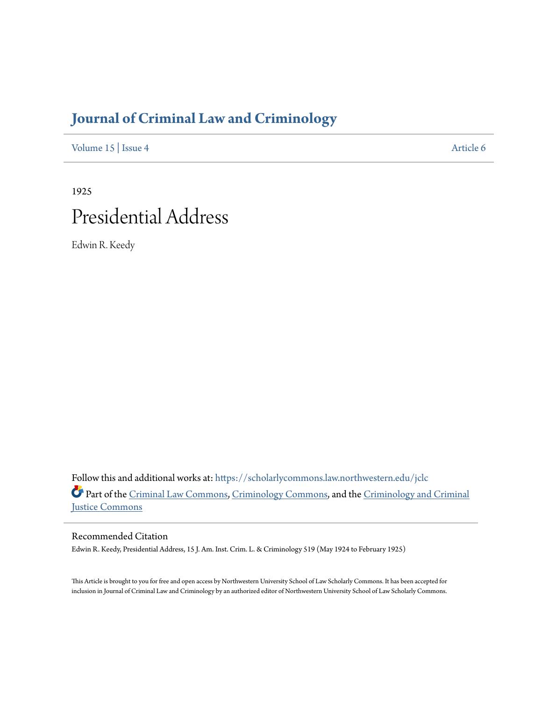## **[Journal of Criminal Law and Criminology](https://scholarlycommons.law.northwestern.edu/jclc?utm_source=scholarlycommons.law.northwestern.edu%2Fjclc%2Fvol15%2Fiss4%2F6&utm_medium=PDF&utm_campaign=PDFCoverPages)**

[Volume 15](https://scholarlycommons.law.northwestern.edu/jclc/vol15?utm_source=scholarlycommons.law.northwestern.edu%2Fjclc%2Fvol15%2Fiss4%2F6&utm_medium=PDF&utm_campaign=PDFCoverPages) | [Issue 4](https://scholarlycommons.law.northwestern.edu/jclc/vol15/iss4?utm_source=scholarlycommons.law.northwestern.edu%2Fjclc%2Fvol15%2Fiss4%2F6&utm_medium=PDF&utm_campaign=PDFCoverPages) [Article 6](https://scholarlycommons.law.northwestern.edu/jclc/vol15/iss4/6?utm_source=scholarlycommons.law.northwestern.edu%2Fjclc%2Fvol15%2Fiss4%2F6&utm_medium=PDF&utm_campaign=PDFCoverPages)

## 1925 Presidential Address

Edwin R. Keedy

Follow this and additional works at: [https://scholarlycommons.law.northwestern.edu/jclc](https://scholarlycommons.law.northwestern.edu/jclc?utm_source=scholarlycommons.law.northwestern.edu%2Fjclc%2Fvol15%2Fiss4%2F6&utm_medium=PDF&utm_campaign=PDFCoverPages) Part of the [Criminal Law Commons](http://network.bepress.com/hgg/discipline/912?utm_source=scholarlycommons.law.northwestern.edu%2Fjclc%2Fvol15%2Fiss4%2F6&utm_medium=PDF&utm_campaign=PDFCoverPages), [Criminology Commons](http://network.bepress.com/hgg/discipline/417?utm_source=scholarlycommons.law.northwestern.edu%2Fjclc%2Fvol15%2Fiss4%2F6&utm_medium=PDF&utm_campaign=PDFCoverPages), and the [Criminology and Criminal](http://network.bepress.com/hgg/discipline/367?utm_source=scholarlycommons.law.northwestern.edu%2Fjclc%2Fvol15%2Fiss4%2F6&utm_medium=PDF&utm_campaign=PDFCoverPages) [Justice Commons](http://network.bepress.com/hgg/discipline/367?utm_source=scholarlycommons.law.northwestern.edu%2Fjclc%2Fvol15%2Fiss4%2F6&utm_medium=PDF&utm_campaign=PDFCoverPages)

## Recommended Citation

Edwin R. Keedy, Presidential Address, 15 J. Am. Inst. Crim. L. & Criminology 519 (May 1924 to February 1925)

This Article is brought to you for free and open access by Northwestern University School of Law Scholarly Commons. It has been accepted for inclusion in Journal of Criminal Law and Criminology by an authorized editor of Northwestern University School of Law Scholarly Commons.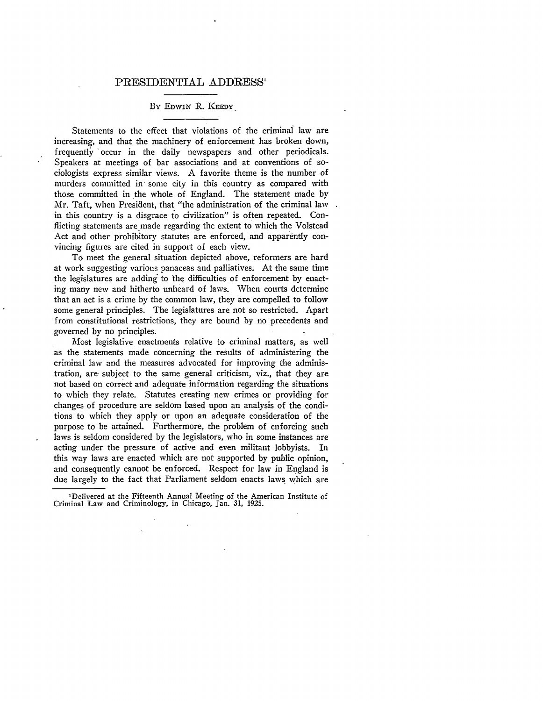## By EDWIN R. KEEDY

Statements to the effect that violations of the criminal law are increasing, and that the machinery of enforcement has broken down, frequently occur in the daily newspapers and other periodicals. Speakers at meetings of bar associations and at conventions of sociologists express similar views. A favorite theme is the number of murders committed in some city in this country as compared with those committed in the whole of England. The statement made by Mr. Taft, when President, that "the administration of the criminal law in this country is a disgrace to civilization" is often repeated. Conflicting statements are made regarding the extent to which the Volstead Act and other prohibitory statutes are enforced, and apparently convincing figures are cited in support of each view.

To meet the general situation depicted above, reformers are hard at work suggesting various panaceas and palliatives. At the same time the legislatures are adding to 'the difficulties of enforcement by enacting many new and hitherto unheard of laws. When courts determine that an act is a crime by the common law, they are compelled to follow some general principles. The legislatures are not so restricted. Apart from constitutional restrictions, they are bound by no precedents and governed by no principles.

Most legislative enactments relative to criminal matters, as well as the statements made concerning the results of administering the criminal law and the measures advocated for improving the administration, are. subject to the same general criticism, viz., that they are not based on correct and adequate information regarding the situations to which they relate. Statutes creating new crimes or providing for changes of procedure are seldom based upon an analysis of the conditions to which they apply or upon an adequate consideration of the purpose to be attained. Furthermore, the problem of enforcing such laws is seldom considered by the legislators, who in some instances are acting under the pressure of active and even militant lobbyists. In this way laws are enacted which are not supported by public opinion, and consequently cannot be enforced. Respect for law in England is due largely to the fact that Parliament seldom enacts laws which are

1 Delivered at the Fifteenth Annual Meeting of the American Institute of Criminal Law and Criminology, in Chicago, Jan. 31, **1925.**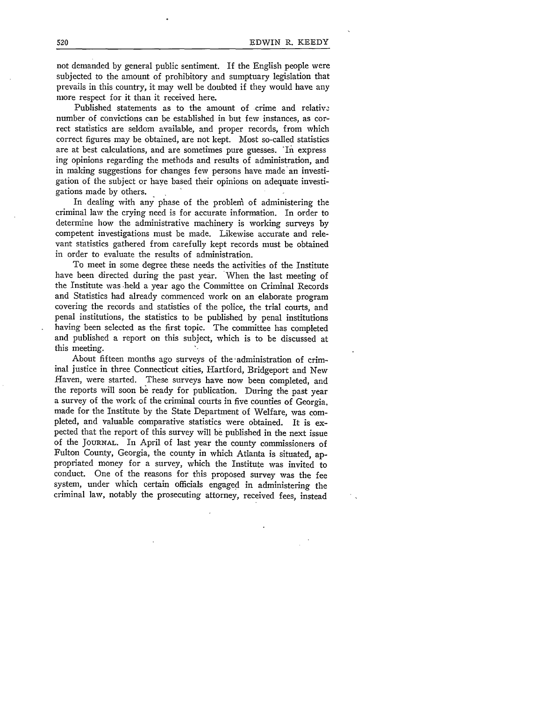not demanded by general public sentiment. If the English people were subjected to the amount of prohibitory and sumptuary legislation that prevails in this country, it may well be doubted if they would have any more respect for it than it received here.

Published statements as to the amount of crime and relative number of convictions can be established in but few instances, as correct statistics are seldom available, and proper records, from which correct figures may be obtained, are not kept. Most so-called statistics are at best calculations, and are sometimes pure guesses. "In express ing opinions regarding the methods and results of administration, and in making suggestions for changes few persons have made an investigation of the subject or have based their opinions on adequate investigations made by others.

In dealing with any phase of the problen' of administering the criminal law the crying need is for accurate information. In order to determine how the administrative machinery is working surveys by competent investigations must be made. Likewise accurate and relevant statistics gathered from carefully kept records must be obtained in order to evaluate the results of administration.

To meet in some degree these needs the activities of the Institute have been directed during the past year. When the last meeting of the Institute was held a year ago the Committee on Criminal Records and Statistics had already commenced work on an elaborate program covering the records and statistics of the police, the trial courts, and penal institutions, the statistics to be published by penal institutions having been selected as the first topic. The committee has completed and published a report on this subject, which is to be discussed at this meeting.

About fifteen months ago surveys of the -administration of criminal justice in three Connecticut cities, Hartford, Bridgeport and New Haven, were started. These surveys have now been completed, and the reports will soon be ready for publication. During the past year a survey of the work of the criminal courts in five counties of Georgia, made for the Institute by the State Department of Welfare, was completed, and valuable comparative statistics were obtained. It is expected that the report of this survey will be published in the next issue of the **JOURNAL.** In April of last year the county commissioners of Fulton County, Georgia, the county in which Atlanta is situated, appropriated money for a survey, which the Institute was invited to conduct. One of the reasons for this proposed survey was the fee system, under which certain officials engaged in administering the criminal law, notably the prosecuting attorney, received fees, instead